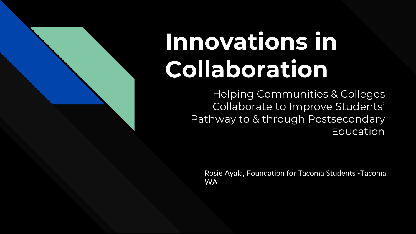# **Innovations in Collaboration**

Helping Communities & Colleges Collaborate to Improve Students' Pathway to & through Postsecondary Education

Rosie Ayala, Foundation for Tacoma Students -Tacoma, WA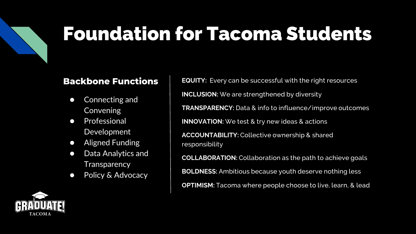#### Foundation for Tacoma Students

#### **Backbone Functions**

- Connecting and Convening
- Professional Development
- Aligned Funding
- Data Analytics and **Transparency**
- Policy & Advocacy

**EQUITY:** Every can be successful with the right resources **INCLUSION:** We are strengthened by diversity **TRANSPARENCY:** Data & info to influence/improve outcomes **INNOVATION:** We test & try new ideas & actions **ACCOUNTABILITY:** Collective ownership & shared responsibility **COLLABORATION:** Collaboration as the path to achieve goals **BOLDNESS:** Ambitious because youth deserve nothing less

**OPTIMISM:** Tacoma where people choose to live, learn, & lead

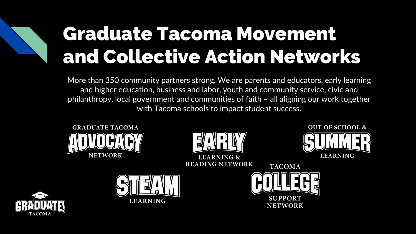#### Graduate Tacoma Movement and Collective Action Networks

More than 350 community partners strong. We are parents and educators, early learning and higher education, business and labor, youth and community service, civic and philanthropy, local government and communities of faith – all aligning our work together with Tacoma schools to impact student success.



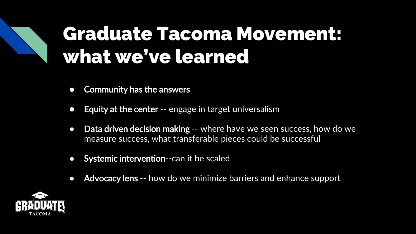#### Graduate Tacoma Movement: what we've learned

- Community has the answers
- Equity at the center -- engage in target universalism
- Data driven decision making -- where have we seen success, how do we measure success, what transferable pieces could be successful
- Systemic intervention--can it be scaled
- Advocacy lens -- how do we minimize barriers and enhance support

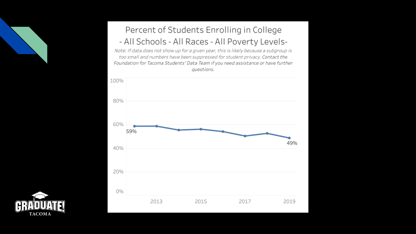

#### Percent of Students Enrolling in College - All Schools - All Races - All Poverty Levels-

Note: If data does not show up for a given year, this is likely because a subgroup is too small and numbers have been suppressed for student privacy. Contact the Foundation for Tacoma Students' Data Team if you need assistance or have further questions.



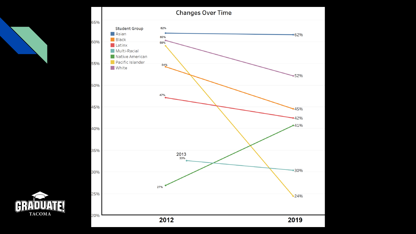

CEL

**TACOMA**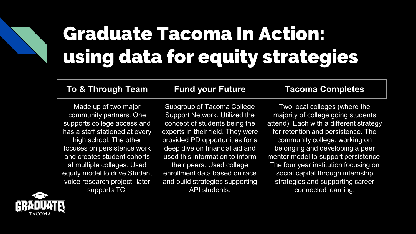### Graduate Tacoma In Action: using data for equity strategies

| To & Through Team              | <b>Fund your Future</b>           | <b>Tacoma Completes</b>                 |
|--------------------------------|-----------------------------------|-----------------------------------------|
| Made up of two major           | <b>Subgroup of Tacoma College</b> | Two local colleges (where the           |
| community partners. One        | Support Network. Utilized the     | majority of college going students      |
| supports college access and    | concept of students being the     | attend). Each with a different strategy |
| has a staff stationed at every | experts in their field. They were | for retention and persistence. The      |
| high school. The other         | provided PD opportunities for a   | community college, working on           |
| focuses on persistence work    | deep dive on financial aid and    | belonging and developing a peer         |
| and creates student cohorts    | used this information to inform   | mentor model to support persistence.    |
| at multiple colleges. Used     | their peers. Used college         | The four year institution focusing on   |
| equity model to drive Student  | enrollment data based on race     | social capital through internship       |
| voice research project--later  | and build strategies supporting   | strategies and supporting career        |
| supports TC.                   | API students.                     | connected learning.                     |

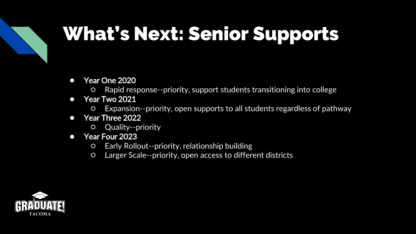### What's Next: Senior Supports

- Year One 2020
	- Rapid response--priority, support students transitioning into college
- Year Two 2021
	- Expansion--priority, open supports to all students regardless of pathway
- Year Three 2022
	- Quality--priority
- Year Four 2023
	- Early Rollout--priority, relationship building
	- Larger Scale--priority, open access to different districts

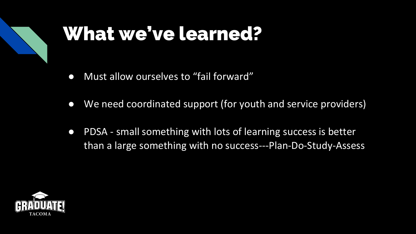

#### What we've learned?

- Must allow ourselves to "fail forward"
- We need coordinated support (for youth and service providers)
- PDSA small something with lots of learning success is better than a large something with no success---Plan-Do-Study-Assess

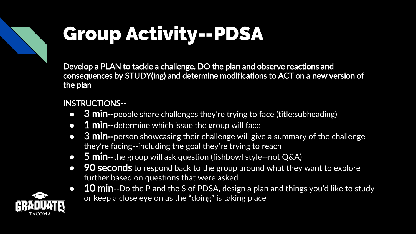## Group Activity--PDSA

Develop a PLAN to tackle a challenge. DO the plan and observe reactions and consequences by STUDY(ing) and determine modifications to ACT on a new version of the plan

#### INSTRUCTIONS--

- **3 min--**people share challenges they're trying to face (title:subheading)
- $\bullet$   $\overline{1}$  min--determine which issue the group will face
- 3 min--person showcasing their challenge will give a summary of the challenge they're facing--including the goal they're trying to reach
- $\bullet$  5 min--the group will ask question (fishbowl style--not Q&A)
- 90 seconds to respond back to the group around what they want to explore further based on questions that were asked
- $\bullet$  10 min--Do the P and the S of PDSA, design a plan and things you'd like to study or keep a close eye on as the "doing" is taking place

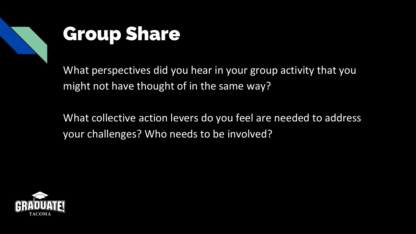

#### Group Share

What perspectives did you hear in your group activity that you might not have thought of in the same way?

What collective action levers do you feel are needed to address your challenges? Who needs to be involved?

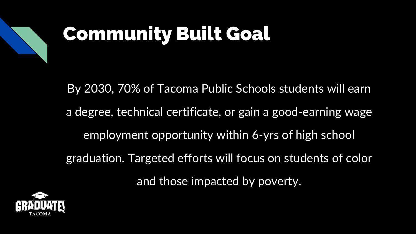

### Community Built Goal

By 2030, 70% of Tacoma Public Schools students will earn a degree, technical certificate, or gain a good-earning wage employment opportunity within 6-yrs of high school graduation. Targeted efforts will focus on students of color and those impacted by poverty.

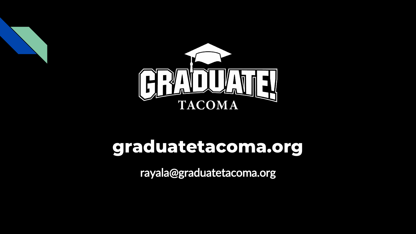

#### **graduatetacoma.org**

rayala@graduatetacoma.org